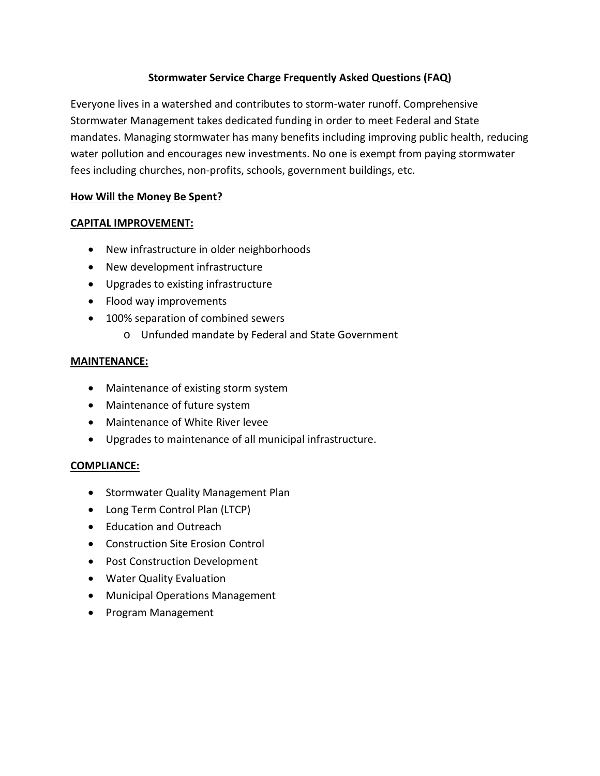## **Stormwater Service Charge Frequently Asked Questions (FAQ)**

Everyone lives in a watershed and contributes to storm-water runoff. Comprehensive Stormwater Management takes dedicated funding in order to meet Federal and State mandates. Managing stormwater has many benefits including improving public health, reducing water pollution and encourages new investments. No one is exempt from paying stormwater fees including churches, non-profits, schools, government buildings, etc.

## **How Will the Money Be Spent?**

## **CAPITAL IMPROVEMENT:**

- New infrastructure in older neighborhoods
- New development infrastructure
- Upgrades to existing infrastructure
- Flood way improvements
- 100% separation of combined sewers
	- o Unfunded mandate by Federal and State Government

# **MAINTENANCE:**

- Maintenance of existing storm system
- Maintenance of future system
- Maintenance of White River levee
- Upgrades to maintenance of all municipal infrastructure.

# **COMPLIANCE:**

- Stormwater Quality Management Plan
- Long Term Control Plan (LTCP)
- Education and Outreach
- Construction Site Erosion Control
- Post Construction Development
- Water Quality Evaluation
- Municipal Operations Management
- Program Management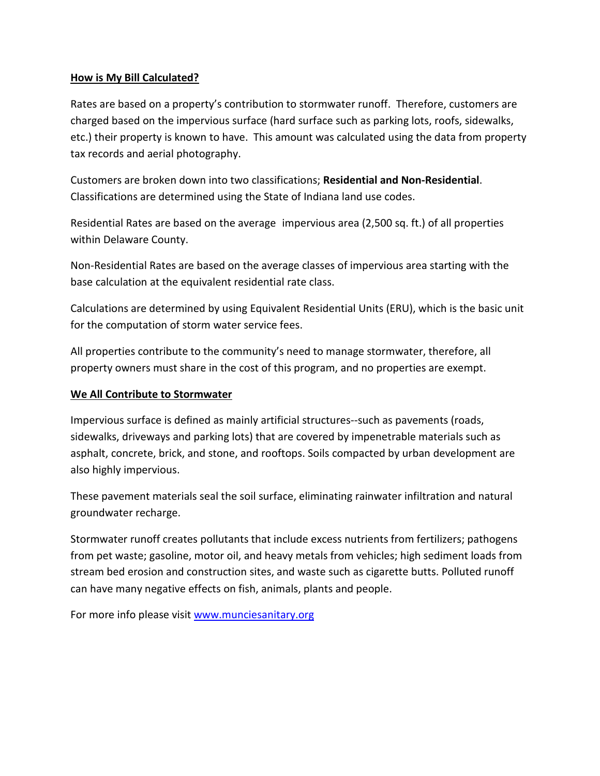## **How is My Bill Calculated?**

Rates are based on a property's contribution to stormwater runoff. Therefore, customers are charged based on the impervious surface (hard surface such as parking lots, roofs, sidewalks, etc.) their property is known to have. This amount was calculated using the data from property tax records and aerial photography.

Customers are broken down into two classifications; **Residential and Non-Residential**. Classifications are determined using the State of Indiana land use codes.

Residential Rates are based on the average impervious area (2,500 sq. ft.) of all properties within Delaware County.

Non-Residential Rates are based on the average classes of impervious area starting with the base calculation at the equivalent residential rate class.

Calculations are determined by using Equivalent Residential Units (ERU), which is the basic unit for the computation of storm water service fees.

All properties contribute to the community's need to manage stormwater, therefore, all property owners must share in the cost of this program, and no properties are exempt.

#### **We All Contribute to Stormwater**

Impervious surface is defined as mainly artificial structures--such as pavements (roads, sidewalks, driveways and parking lots) that are covered by impenetrable materials such as asphalt, concrete, brick, and stone, and rooftops. Soils compacted by urban development are also highly impervious.

These pavement materials seal the soil surface, eliminating rainwater infiltration and natural groundwater recharge.

Stormwater runoff creates pollutants that include excess nutrients from fertilizers; pathogens from pet waste; gasoline, motor oil, and heavy metals from vehicles; high sediment loads from stream bed erosion and construction sites, and waste such as cigarette butts. Polluted runoff can have many negative effects on fish, animals, plants and people.

For more info please visit [www.munciesanitary.org](http://www.munciesanitary.org/)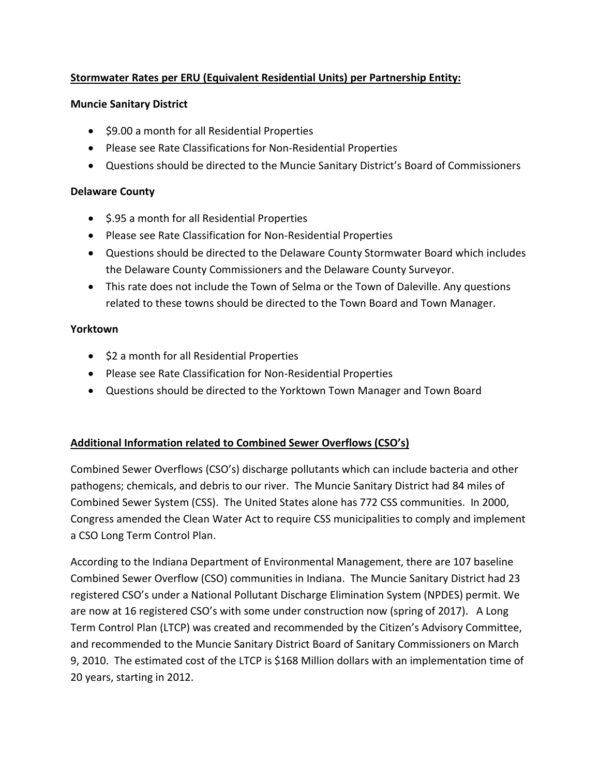# **Stormwater Rates per ERU (Equivalent Residential Units) per Partnership Entity:**

#### **Muncie Sanitary District**

- \$9.00 a month for all Residential Properties
- Please see Rate Classifications for Non-Residential Properties
- Questions should be directed to the Muncie Sanitary District's Board of Commissioners

## **Delaware County**

- \$.95 a month for all Residential Properties
- Please see Rate Classification for Non-Residential Properties
- Questions should be directed to the Delaware County Stormwater Board which includes the Delaware County Commissioners and the Delaware County Surveyor.
- This rate does not include the Town of Selma or the Town of Daleville. Any questions related to these towns should be directed to the Town Board and Town Manager.

#### **Yorktown**

- \$2 a month for all Residential Properties
- Please see Rate Classification for Non-Residential Properties
- Questions should be directed to the Yorktown Town Manager and Town Board

## **Additional Information related to Combined Sewer Overflows (CSO's)**

Combined Sewer Overflows (CSO's) discharge pollutants which can include bacteria and other pathogens; chemicals, and debris to our river. The Muncie Sanitary District had 84 miles of Combined Sewer System (CSS). The United States alone has 772 CSS communities. In 2000, Congress amended the Clean Water Act to require CSS municipalities to comply and implement a CSO Long Term Control Plan.

According to the Indiana Department of Environmental Management, there are 107 baseline Combined Sewer Overflow (CSO) communities in Indiana. The Muncie Sanitary District had 23 registered CSO's under a National Pollutant Discharge Elimination System (NPDES) permit. We are now at 16 registered CSO's with some under construction now (spring of 2017). A Long Term Control Plan (LTCP) was created and recommended by the Citizen's Advisory Committee, and recommended to the Muncie Sanitary District Board of Sanitary Commissioners on March 9, 2010. The estimated cost of the LTCP is \$168 Million dollars with an implementation time of 20 years, starting in 2012.